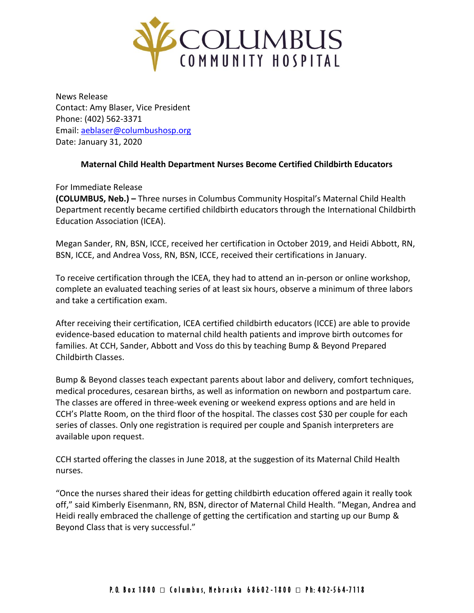

News Release Contact: Amy Blaser, Vice President Phone: (402) 562-3371 Email: [aeblaser@columbushosp.org](mailto:aeblaser@columbushosp.org) Date: January 31, 2020

## **Maternal Child Health Department Nurses Become Certified Childbirth Educators**

For Immediate Release

**(COLUMBUS, Neb.) –** Three nurses in Columbus Community Hospital's Maternal Child Health Department recently became certified childbirth educators through the International Childbirth Education Association (ICEA).

Megan Sander, RN, BSN, ICCE, received her certification in October 2019, and Heidi Abbott, RN, BSN, ICCE, and Andrea Voss, RN, BSN, ICCE, received their certifications in January.

To receive certification through the ICEA, they had to attend an in-person or online workshop, complete an evaluated teaching series of at least six hours, observe a minimum of three labors and take a certification exam.

After receiving their certification, ICEA certified childbirth educators (ICCE) are able to provide evidence-based education to maternal child health patients and improve birth outcomes for families. At CCH, Sander, Abbott and Voss do this by teaching Bump & Beyond Prepared Childbirth Classes.

Bump & Beyond classes teach expectant parents about labor and delivery, comfort techniques, medical procedures, cesarean births, as well as information on newborn and postpartum care. The classes are offered in three-week evening or weekend express options and are held in CCH's Platte Room, on the third floor of the hospital. The classes cost \$30 per couple for each series of classes. Only one registration is required per couple and Spanish interpreters are available upon request.

CCH started offering the classes in June 2018, at the suggestion of its Maternal Child Health nurses.

"Once the nurses shared their ideas for getting childbirth education offered again it really took off," said Kimberly Eisenmann, RN, BSN, director of Maternal Child Health. "Megan, Andrea and Heidi really embraced the challenge of getting the certification and starting up our Bump & Beyond Class that is very successful."